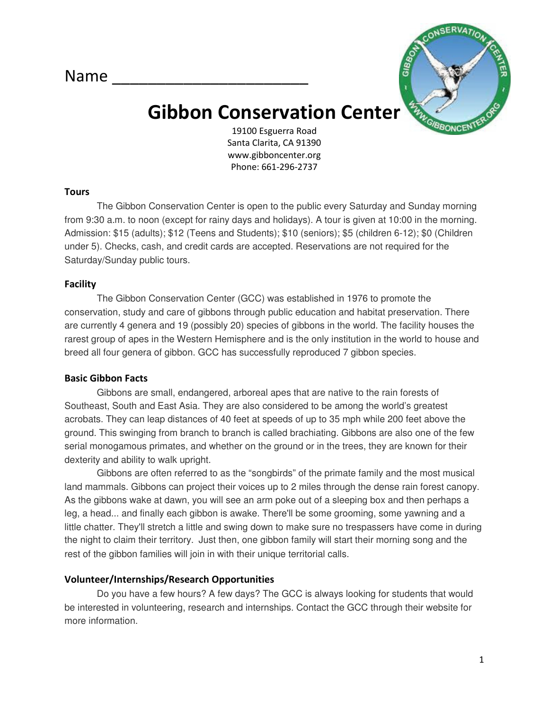Name



# Gibbon Conservation Center

19100 Esguerra Road Santa Clarita, CA 91390 www.gibboncenter.org Phone: 661-296-2737

#### **Tours**

The Gibbon Conservation Center is open to the public every Saturday and Sunday morning from 9:30 a.m. to noon (except for rainy days and holidays). A tour is given at 10:00 in the morning. Admission: \$15 (adults); \$12 (Teens and Students); \$10 (seniors); \$5 (children 6-12); \$0 (Children under 5). Checks, cash, and credit cards are accepted. Reservations are not required for the Saturday/Sunday public tours.

#### Facility

The Gibbon Conservation Center (GCC) was established in 1976 to promote the conservation, study and care of gibbons through public education and habitat preservation. There are currently 4 genera and 19 (possibly 20) species of gibbons in the world. The facility houses the rarest group of apes in the Western Hemisphere and is the only institution in the world to house and breed all four genera of gibbon. GCC has successfully reproduced 7 gibbon species.

#### Basic Gibbon Facts

Gibbons are small, endangered, arboreal apes that are native to the rain forests of Southeast, South and East Asia. They are also considered to be among the world's greatest acrobats. They can leap distances of 40 feet at speeds of up to 35 mph while 200 feet above the ground. This swinging from branch to branch is called brachiating. Gibbons are also one of the few serial monogamous primates, and whether on the ground or in the trees, they are known for their dexterity and ability to walk upright.

Gibbons are often referred to as the "songbirds" of the primate family and the most musical land mammals. Gibbons can project their voices up to 2 miles through the dense rain forest canopy. As the gibbons wake at dawn, you will see an arm poke out of a sleeping box and then perhaps a leg, a head... and finally each gibbon is awake. There'll be some grooming, some yawning and a little chatter. They'll stretch a little and swing down to make sure no trespassers have come in during the night to claim their territory. Just then, one gibbon family will start their morning song and the rest of the gibbon families will join in with their unique territorial calls.

## Volunteer/Internships/Research Opportunities

Do you have a few hours? A few days? The GCC is always looking for students that would be interested in volunteering, research and internships. Contact the GCC through their website for more information.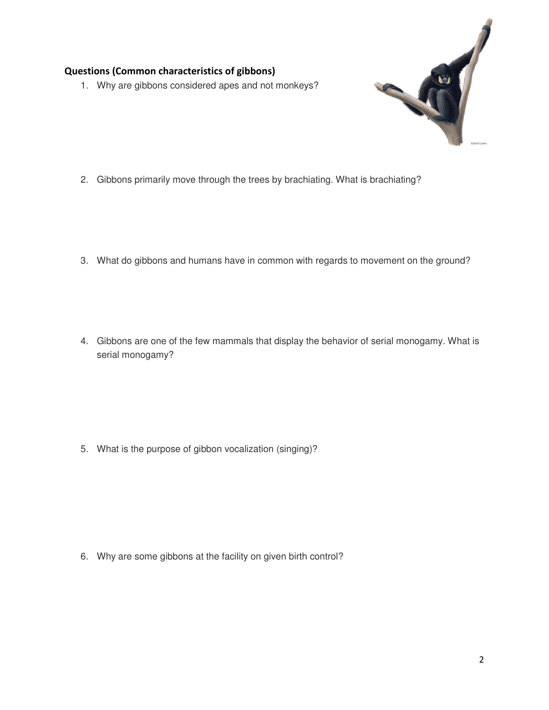# Questions (Common characteristics of gibbons)

1. Why are gibbons considered apes and not monkeys?



- 2. Gibbons primarily move through the trees by brachiating. What is brachiating?
- 3. What do gibbons and humans have in common with regards to movement on the ground?
- 4. Gibbons are one of the few mammals that display the behavior of serial monogamy. What is serial monogamy?

5. What is the purpose of gibbon vocalization (singing)?

6. Why are some gibbons at the facility on given birth control?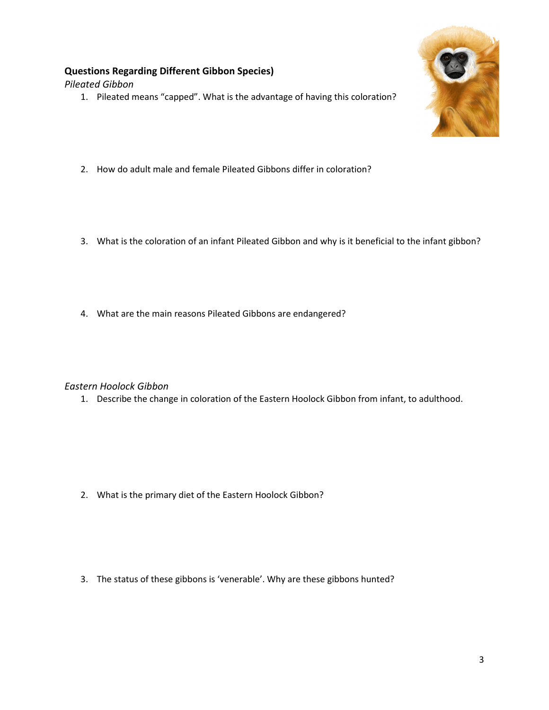# Questions Regarding Different Gibbon Species)

Pileated Gibbon

1. Pileated means "capped". What is the advantage of having this coloration?



- 2. How do adult male and female Pileated Gibbons differ in coloration?
- 3. What is the coloration of an infant Pileated Gibbon and why is it beneficial to the infant gibbon?
- 4. What are the main reasons Pileated Gibbons are endangered?

## Eastern Hoolock Gibbon

1. Describe the change in coloration of the Eastern Hoolock Gibbon from infant, to adulthood.

2. What is the primary diet of the Eastern Hoolock Gibbon?

3. The status of these gibbons is 'venerable'. Why are these gibbons hunted?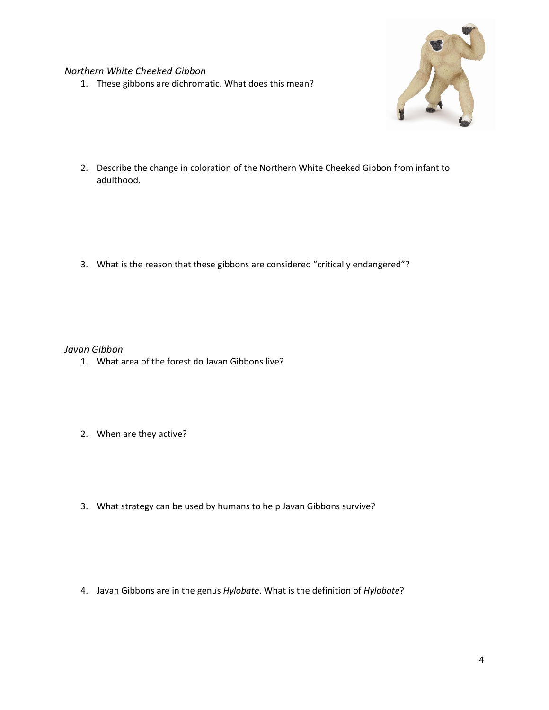Northern White Cheeked Gibbon

1. These gibbons are dichromatic. What does this mean?



2. Describe the change in coloration of the Northern White Cheeked Gibbon from infant to adulthood.

3. What is the reason that these gibbons are considered "critically endangered"?

Javan Gibbon

- 1. What area of the forest do Javan Gibbons live?
- 2. When are they active?
- 3. What strategy can be used by humans to help Javan Gibbons survive?

4. Javan Gibbons are in the genus Hylobate. What is the definition of Hylobate?